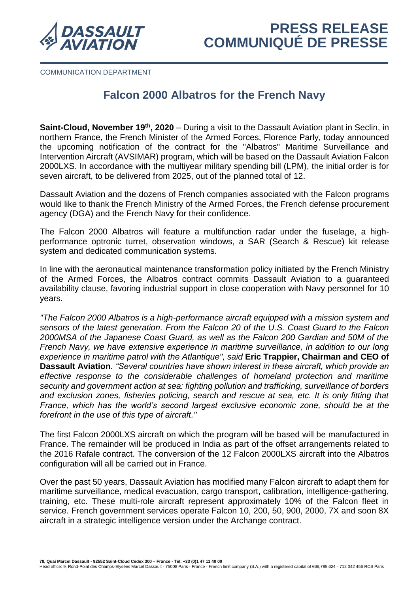

COMMUNICATION DEPARTMENT

## **Falcon 2000 Albatros for the French Navy**

**Saint-Cloud, November 19<sup>th</sup>, 2020** – During a visit to the Dassault Aviation plant in Seclin, in northern France, the French Minister of the Armed Forces, Florence Parly, today announced the upcoming notification of the contract for the "Albatros" Maritime Surveillance and Intervention Aircraft (AVSIMAR) program, which will be based on the Dassault Aviation Falcon 2000LXS. In accordance with the multiyear military spending bill (LPM), the initial order is for seven aircraft, to be delivered from 2025, out of the planned total of 12.

Dassault Aviation and the dozens of French companies associated with the Falcon programs would like to thank the French Ministry of the Armed Forces, the French defense procurement agency (DGA) and the French Navy for their confidence.

The Falcon 2000 Albatros will feature a multifunction radar under the fuselage, a highperformance optronic turret, observation windows, a SAR (Search & Rescue) kit release system and dedicated communication systems.

In line with the aeronautical maintenance transformation policy initiated by the French Ministry of the Armed Forces, the Albatros contract commits Dassault Aviation to a guaranteed availability clause, favoring industrial support in close cooperation with Navy personnel for 10 years.

*"The Falcon 2000 Albatros is a high-performance aircraft equipped with a mission system and sensors of the latest generation. From the Falcon 20 of the U.S. Coast Guard to the Falcon 2000MSA of the Japanese Coast Guard, as well as the Falcon 200 Gardian and 50M of the French Navy, we have extensive experience in maritime surveillance, in addition to our long experience in maritime patrol with the Atlantique", said* **Eric Trappier, Chairman and CEO of Dassault Aviation***. "Several countries have shown interest in these aircraft, which provide an effective response to the considerable challenges of homeland protection and maritime security and government action at sea: fighting pollution and trafficking, surveillance of borders and exclusion zones, fisheries policing, search and rescue at sea, etc. It is only fitting that France, which has the world's second largest exclusive economic zone, should be at the forefront in the use of this type of aircraft."*

The first Falcon 2000LXS aircraft on which the program will be based will be manufactured in France. The remainder will be produced in India as part of the offset arrangements related to the 2016 Rafale contract. The conversion of the 12 Falcon 2000LXS aircraft into the Albatros configuration will all be carried out in France.

Over the past 50 years, Dassault Aviation has modified many Falcon aircraft to adapt them for maritime surveillance, medical evacuation, cargo transport, calibration, intelligence-gathering, training, etc. These multi-role aircraft represent approximately 10% of the Falcon fleet in service. French government services operate Falcon 10, 200, 50, 900, 2000, 7X and soon 8X aircraft in a strategic intelligence version under the Archange contract.

**78, Quai Marcel Dassault - 92552 Saint-Cloud Cedex 300 – France - Tel: +33 (0)1 47 11 40 00** 

Head office: 9, Rond-Point des Champs-Elysées Marcel Dassault - 75008 Paris - France - French limit company (S.A.) with a registered capital of €66,789,624 - 712 042 456 RCS Paris